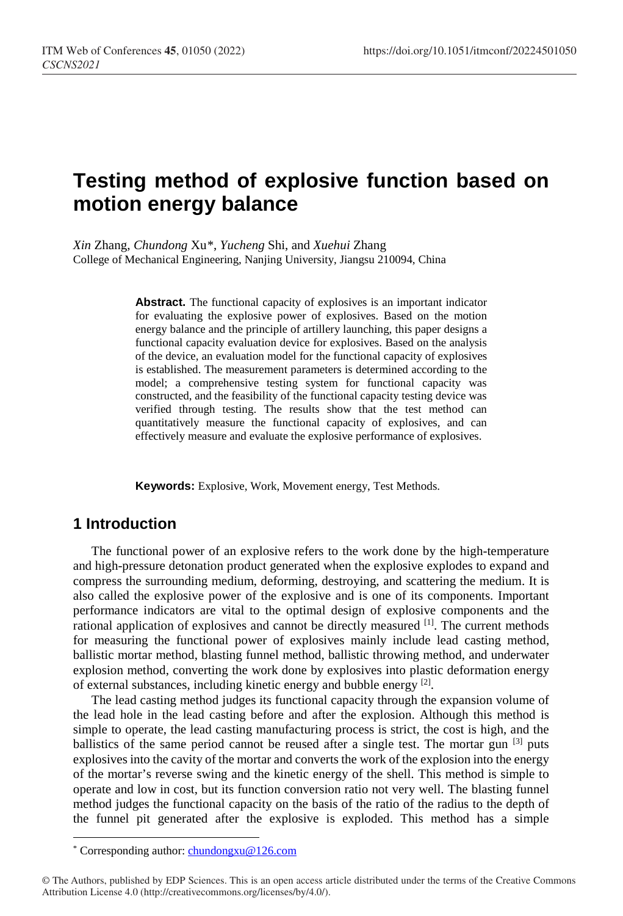# **Testing method of explosive function based on motion energy balance**

*Xin* Zhang, *Chundong* Xu[\\*,](#page-0-0) *Yucheng* Shi, and *Xuehui* Zhang College of Mechanical Engineering, Nanjing University, Jiangsu 210094, China

> **Abstract.** The functional capacity of explosives is an important indicator for evaluating the explosive power of explosives. Based on the motion energy balance and the principle of artillery launching, this paper designs a functional capacity evaluation device for explosives. Based on the analysis of the device, an evaluation model for the functional capacity of explosives is established. The measurement parameters is determined according to the model; a comprehensive testing system for functional capacity was constructed, and the feasibility of the functional capacity testing device was verified through testing. The results show that the test method can quantitatively measure the functional capacity of explosives, and can effectively measure and evaluate the explosive performance of explosives.

**Keywords:** Explosive, Work, Movement energy, Test Methods.

### **1 Introduction**

The functional power of an explosive refers to the work done by the high-temperature and high-pressure detonation product generated when the explosive explodes to expand and compress the surrounding medium, deforming, destroying, and scattering the medium. It is also called the explosive power of the explosive and is one of its components. Important performance indicators are vital to the optimal design of explosive components and the rational application of explosives and cannot be directly measured <sup>[1]</sup>. The current methods for measuring the functional power of explosives mainly include lead casting method, ballistic mortar method, blasting funnel method, ballistic throwing method, and underwater explosion method, converting the work done by explosives into plastic deformation energy of external substances, including kinetic energy and bubble energy [2].

The lead casting method judges its functional capacity through the expansion volume of the lead hole in the lead casting before and after the explosion. Although this method is simple to operate, the lead casting manufacturing process is strict, the cost is high, and the ballistics of the same period cannot be reused after a single test. The mortar gun  $^{[3]}$  puts explosives into the cavity of the mortar and converts the work of the explosion into the energy of the mortar's reverse swing and the kinetic energy of the shell. This method is simple to operate and low in cost, but its function conversion ratio not very well. The blasting funnel method judges the functional capacity on the basis of the ratio of the radius to the depth of the funnel pit generated after the explosive is exploded. This method has a simple

<sup>\*</sup> Corresponding author: chundongxu@126.com

<span id="page-0-0"></span><sup>©</sup> The Authors, published by EDP Sciences. This is an open access article distributed under the terms of the Creative Commons Attribution License 4.0 (http://creativecommons.org/licenses/by/4.0/).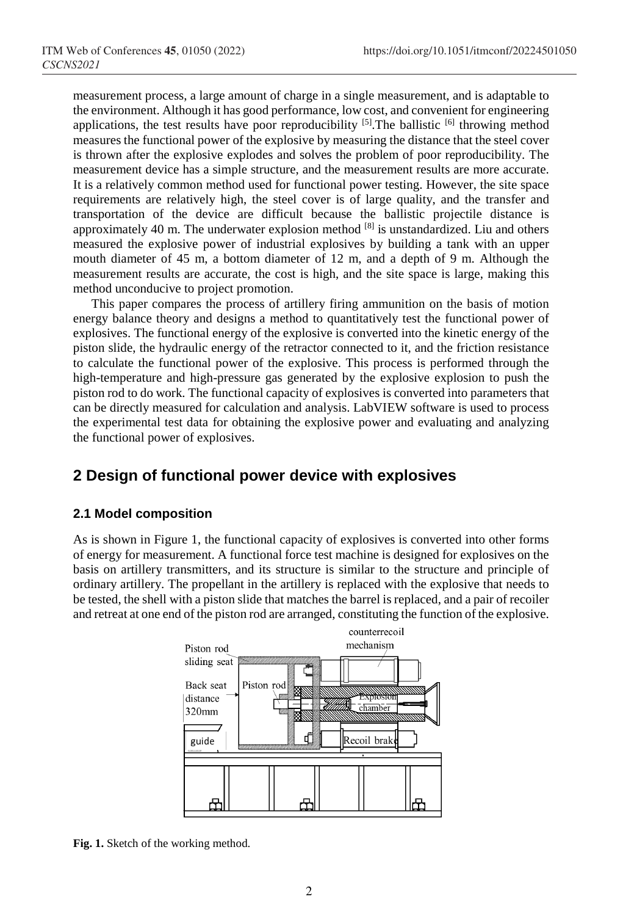measurement process, a large amount of charge in a single measurement, and is adaptable to the environment. Although it has good performance, low cost, and convenient for engineering applications, the test results have poor reproducibility  $[5]$ . The ballistic  $[6]$  throwing method measures the functional power of the explosive by measuring the distance that the steel cover is thrown after the explosive explodes and solves the problem of poor reproducibility. The measurement device has a simple structure, and the measurement results are more accurate. It is a relatively common method used for functional power testing. However, the site space requirements are relatively high, the steel cover is of large quality, and the transfer and transportation of the device are difficult because the ballistic projectile distance is approximately 40 m. The underwater explosion method  $^{[8]}$  is unstandardized. Liu and others measured the explosive power of industrial explosives by building a tank with an upper mouth diameter of 45 m, a bottom diameter of 12 m, and a depth of 9 m. Although the measurement results are accurate, the cost is high, and the site space is large, making this method unconducive to project promotion.

This paper compares the process of artillery firing ammunition on the basis of motion energy balance theory and designs a method to quantitatively test the functional power of explosives. The functional energy of the explosive is converted into the kinetic energy of the piston slide, the hydraulic energy of the retractor connected to it, and the friction resistance to calculate the functional power of the explosive. This process is performed through the high-temperature and high-pressure gas generated by the explosive explosion to push the piston rod to do work. The functional capacity of explosives is converted into parameters that can be directly measured for calculation and analysis. LabVIEW software is used to process the experimental test data for obtaining the explosive power and evaluating and analyzing the functional power of explosives.

### **2 Design of functional power device with explosives**

#### **2.1 Model composition**

As is shown in Figure 1, the functional capacity of explosives is converted into other forms of energy for measurement. A functional force test machine is designed for explosives on the basis on artillery transmitters, and its structure is similar to the structure and principle of ordinary artillery. The propellant in the artillery is replaced with the explosive that needs to be tested, the shell with a piston slide that matches the barrel is replaced, and a pair of recoiler and retreat at one end of the piston rod are arranged, constituting the function of the explosive.



**Fig. 1.** Sketch of the working method.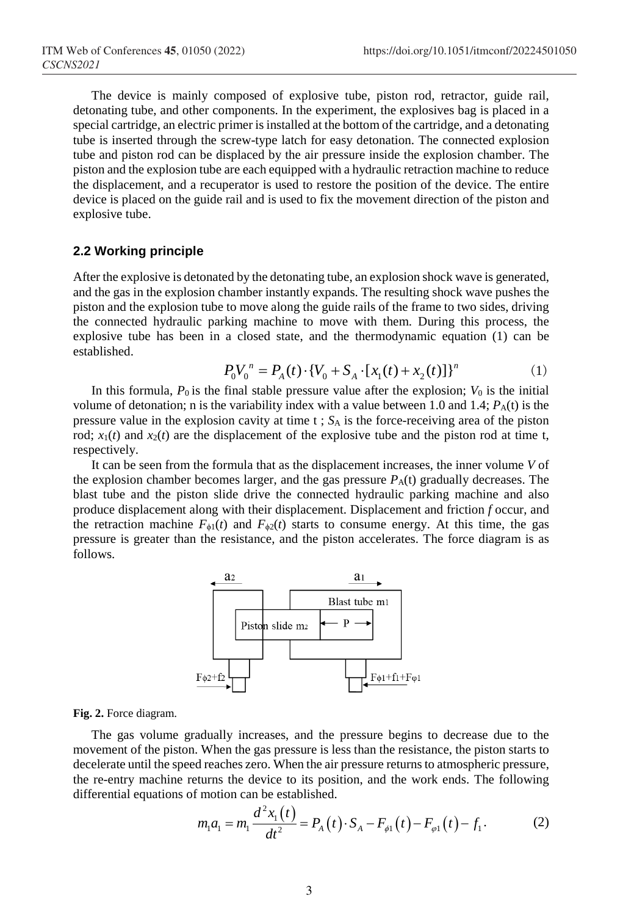The device is mainly composed of explosive tube, piston rod, retractor, guide rail, detonating tube, and other components. In the experiment, the explosives bag is placed in a special cartridge, an electric primer is installed at the bottom of the cartridge, and a detonating tube is inserted through the screw-type latch for easy detonation. The connected explosion tube and piston rod can be displaced by the air pressure inside the explosion chamber. The piston and the explosion tube are each equipped with a hydraulic retraction machine to reduce the displacement, and a recuperator is used to restore the position of the device. The entire device is placed on the guide rail and is used to fix the movement direction of the piston and explosive tube.

### **2.2 Working principle**

After the explosive is detonated by the detonating tube, an explosion shock wave is generated, and the gas in the explosion chamber instantly expands. The resulting shock wave pushes the piston and the explosion tube to move along the guide rails of the frame to two sides, driving the connected hydraulic parking machine to move with them. During this process, the explosive tube has been in a closed state, and the thermodynamic equation (1) can be established.

$$
P_0 V_0^n = P_A(t) \cdot \left\{ V_0 + S_A \cdot \left[ x_1(t) + x_2(t) \right] \right\}^n \tag{1}
$$

In this formula,  $P_0$  is the final stable pressure value after the explosion;  $V_0$  is the initial volume of detonation; n is the variability index with a value between 1.0 and 1.4;  $P_A(t)$  is the pressure value in the explosion cavity at time  $t$ ;  $S_A$  is the force-receiving area of the piston rod;  $x_1(t)$  and  $x_2(t)$  are the displacement of the explosive tube and the piston rod at time t, respectively.

It can be seen from the formula that as the displacement increases, the inner volume *V* of the explosion chamber becomes larger, and the gas pressure *P*A(t) gradually decreases. The blast tube and the piston slide drive the connected hydraulic parking machine and also produce displacement along with their displacement. Displacement and friction *f* occur, and the retraction machine  $F_{\phi 1}(t)$  and  $F_{\phi 2}(t)$  starts to consume energy. At this time, the gas pressure is greater than the resistance, and the piston accelerates. The force diagram is as follows.



#### **Fig. 2.** Force diagram.

The gas volume gradually increases, and the pressure begins to decrease due to the movement of the piston. When the gas pressure is less than the resistance, the piston starts to decelerate until the speed reaches zero. When the air pressure returns to atmospheric pressure, the re-entry machine returns the device to its position, and the work ends. The following differential equations of motion can be established.

$$
m_1 a_1 = m_1 \frac{d^2 x_1(t)}{dt^2} = P_A(t) \cdot S_A - F_{\phi 1}(t) - F_{\phi 1}(t) - f_1.
$$
 (2)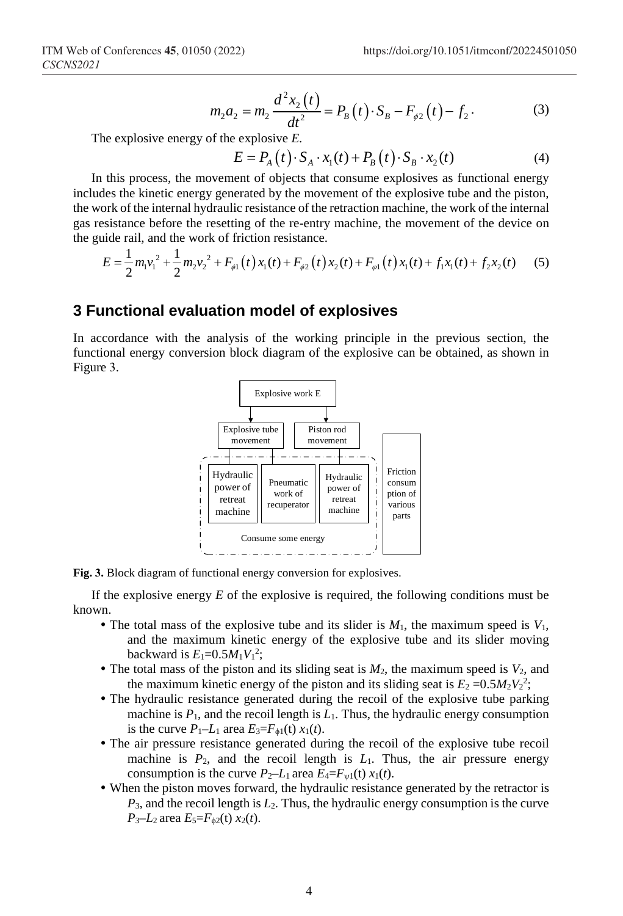$$
m_2 a_2 = m_2 \frac{d^2 x_2(t)}{dt^2} = P_B(t) \cdot S_B - F_{\phi 2}(t) - f_2.
$$
 (3)

The explosive energy of the explosive *E.*

$$
E = P_A(t) \cdot S_A \cdot x_1(t) + P_B(t) \cdot S_B \cdot x_2(t)
$$
\n<sup>(4)</sup>

In this process, the movement of objects that consume explosives as functional energy includes the kinetic energy generated by the movement of the explosive tube and the piston, the work of the internal hydraulic resistance of the retraction machine, the work of the internal gas resistance before the resetting of the re-entry machine, the movement of the device on the guide rail, and the work of friction resistance.

$$
E = \frac{1}{2}m_1v_1^2 + \frac{1}{2}m_2v_2^2 + F_{\phi 1}(t)x_1(t) + F_{\phi 2}(t)x_2(t) + F_{\phi 1}(t)x_1(t) + f_1x_1(t) + f_2x_2(t)
$$
 (5)

### **3 Functional evaluation model of explosives**

In accordance with the analysis of the working principle in the previous section, the functional energy conversion block diagram of the explosive can be obtained, as shown in Figure 3.



**Fig. 3.** Block diagram of functional energy conversion for explosives.

If the explosive energy *E* of the explosive is required, the following conditions must be known.

- $\bullet$  The total mass of the explosive tube and its slider is  $M_1$ , the maximum speed is  $V_1$ , and the maximum kinetic energy of the explosive tube and its slider moving backward is  $E_1 = 0.5 M_1 V_1^2$ ;
- The total mass of the piston and its sliding seat is  $M_2$ , the maximum speed is  $V_2$ , and the maximum kinetic energy of the piston and its sliding seat is  $E_2 = 0.5 M_2 V_2^2$ ;
- The hydraulic resistance generated during the recoil of the explosive tube parking machine is  $P_1$ , and the recoil length is  $L_1$ . Thus, the hydraulic energy consumption is the curve  $P_1$ –*L*<sub>1</sub> area  $E_3$ = $F_{\phi 1}$ (t)  $x_1(t)$ .
- The air pressure resistance generated during the recoil of the explosive tube recoil machine is  $P_2$ , and the recoil length is  $L_1$ . Thus, the air pressure energy consumption is the curve  $P_2$ –*L*<sub>1</sub> area  $E_4 = F_{w1}(t) x_1(t)$ .
- When the piston moves forward, the hydraulic resistance generated by the retractor is *P*3, and the recoil length is *L*2. Thus, the hydraulic energy consumption is the curve  $P_3$ –*L*<sub>2</sub> area  $E_5 = F_{\phi 2}(t) x_2(t)$ .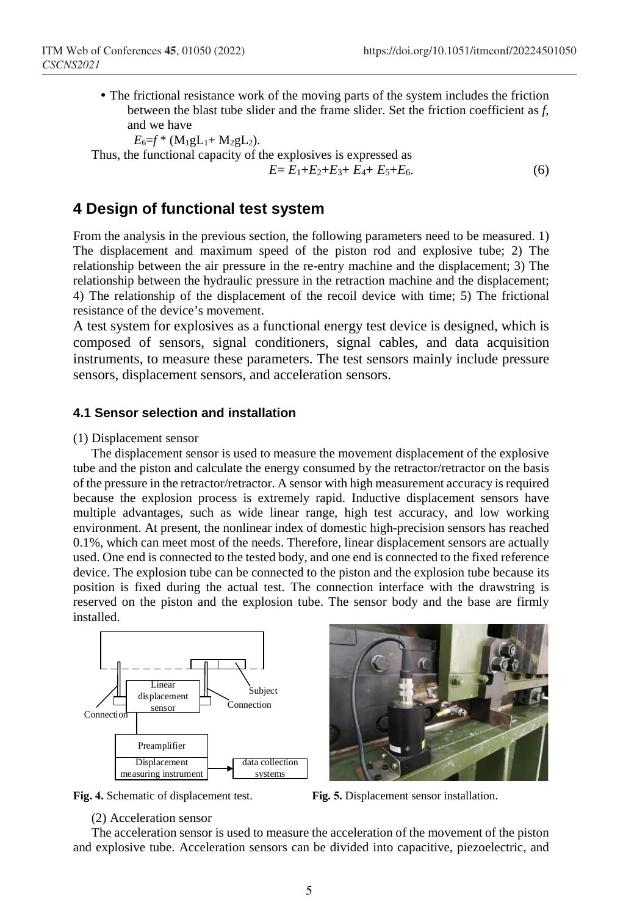The frictional resistance work of the moving parts of the system includes the friction between the blast tube slider and the frame slider. Set the friction coefficient as *f*, and we have

 $E_6 = f^* (M_1 g L_1 + M_2 g L_2).$ 

Thus, the functional capacity of the explosives is expressed as  $E = E_1 + E_2 + E_3 + E_4 + E_5 + E_6.$  (6)

### **4 Design of functional test system**

From the analysis in the previous section, the following parameters need to be measured. 1) The displacement and maximum speed of the piston rod and explosive tube; 2) The relationship between the air pressure in the re-entry machine and the displacement; 3) The relationship between the hydraulic pressure in the retraction machine and the displacement; 4) The relationship of the displacement of the recoil device with time; 5) The frictional resistance of the device's movement.

A test system for explosives as a functional energy test device is designed, which is composed of sensors, signal conditioners, signal cables, and data acquisition instruments, to measure these parameters. The test sensors mainly include pressure sensors, displacement sensors, and acceleration sensors.

#### **4.1 Sensor selection and installation**

#### (1) Displacement sensor

The displacement sensor is used to measure the movement displacement of the explosive tube and the piston and calculate the energy consumed by the retractor/retractor on the basis of the pressure in the retractor/retractor. A sensor with high measurement accuracy is required because the explosion process is extremely rapid. Inductive displacement sensors have multiple advantages, such as wide linear range, high test accuracy, and low working environment. At present, the nonlinear index of domestic high-precision sensors has reached 0.1%, which can meet most of the needs. Therefore, linear displacement sensors are actually used. One end is connected to the tested body, and one end is connected to the fixed reference device. The explosion tube can be connected to the piston and the explosion tube because its position is fixed during the actual test. The connection interface with the drawstring is reserved on the piston and the explosion tube. The sensor body and the base are firmly installed.







**Fig. 4.** Schematic of displacement test. **Fig. 5.** Displacement sensor installation.

#### (2) Acceleration sensor

The acceleration sensor is used to measure the acceleration of the movement of the piston and explosive tube. Acceleration sensors can be divided into capacitive, piezoelectric, and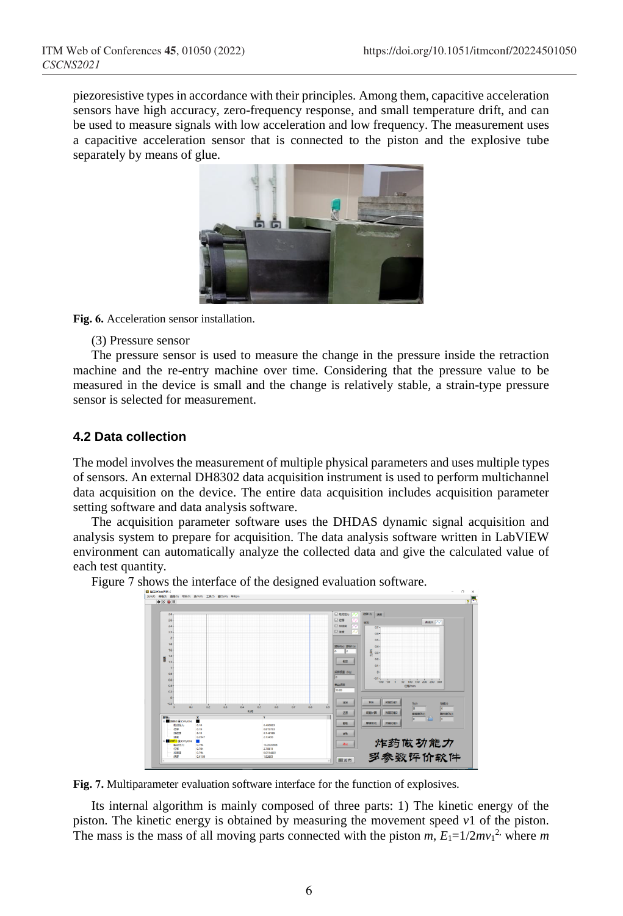piezoresistive types in accordance with their principles. Among them, capacitive acceleration sensors have high accuracy, zero-frequency response, and small temperature drift, and can be used to measure signals with low acceleration and low frequency. The measurement uses a capacitive acceleration sensor that is connected to the piston and the explosive tube separately by means of glue.



**Fig. 6.** Acceleration sensor installation.

(3) Pressure sensor

The pressure sensor is used to measure the change in the pressure inside the retraction machine and the re-entry machine over time. Considering that the pressure value to be measured in the device is small and the change is relatively stable, a strain-type pressure sensor is selected for measurement.

### **4.2 Data collection**

The model involves the measurement of multiple physical parameters and uses multiple types of sensors. An external DH8302 data acquisition instrument is used to perform multichannel data acquisition on the device. The entire data acquisition includes acquisition parameter setting software and data analysis software.

The acquisition parameter software uses the DHDAS dynamic signal acquisition and analysis system to prepare for acquisition. The data analysis software written in LabVIEW environment can automatically analyze the collected data and give the calculated value of each test quantity.

Figure 7 shows the interface of the designed evaluation software.



**Fig. 7.** Multiparameter evaluation software interface for the function of explosives.

Its internal algorithm is mainly composed of three parts: 1) The kinetic energy of the piston. The kinetic energy is obtained by measuring the movement speed  $v_1$  of the piston. The mass is the mass of all moving parts connected with the piston  $m$ ,  $E_1=1/2mv_1^2$ , where  $m$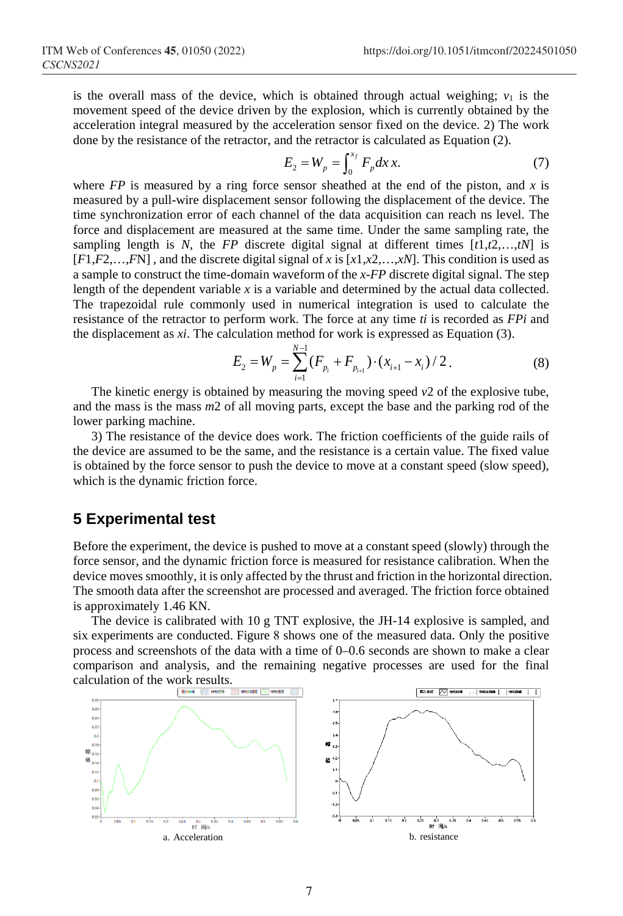is the overall mass of the device, which is obtained through actual weighing;  $v_1$  is the movement speed of the device driven by the explosion, which is currently obtained by the acceleration integral measured by the acceleration sensor fixed on the device. 2) The work done by the resistance of the retractor, and the retractor is calculated as Equation (2).

$$
E_2 = W_p = \int_0^{x_f} F_p dx \, x. \tag{7}
$$

where  $FP$  is measured by a ring force sensor sheathed at the end of the piston, and x is measured by a pull-wire displacement sensor following the displacement of the device. The time synchronization error of each channel of the data acquisition can reach ns level. The force and displacement are measured at the same time. Under the same sampling rate, the sampling length is *N*, the *FP* discrete digital signal at different times  $[t1, t2, \ldots, tN]$  is [*F*1,*F*2,…,*F*N] , and the discrete digital signal of *x* is [*x*1,*x*2,…,*xN*]. This condition is used as a sample to construct the time-domain waveform of the *x*-*FP* discrete digital signal. The step length of the dependent variable *x* is a variable and determined by the actual data collected. The trapezoidal rule commonly used in numerical integration is used to calculate the resistance of the retractor to perform work. The force at any time *ti* is recorded as *FPi* and the displacement as *xi*. The calculation method for work is expressed as Equation (3).

$$
E_2 = W_p = \sum_{i=1}^{N-1} (F_{p_i} + F_{p_{i+1}}) \cdot (x_{i+1} - x_i) / 2.
$$
 (8)

The kinetic energy is obtained by measuring the moving speed *v*2 of the explosive tube, and the mass is the mass *m*2 of all moving parts, except the base and the parking rod of the lower parking machine.

3) The resistance of the device does work. The friction coefficients of the guide rails of the device are assumed to be the same, and the resistance is a certain value. The fixed value is obtained by the force sensor to push the device to move at a constant speed (slow speed), which is the dynamic friction force.

## **5 Experimental test**

Before the experiment, the device is pushed to move at a constant speed (slowly) through the force sensor, and the dynamic friction force is measured for resistance calibration. When the device moves smoothly, it is only affected by the thrust and friction in the horizontal direction. The smooth data after the screenshot are processed and averaged. The friction force obtained is approximately 1.46 KN.

The device is calibrated with 10 g TNT explosive, the JH-14 explosive is sampled, and six experiments are conducted. Figure 8 shows one of the measured data. Only the positive process and screenshots of the data with a time of 0–0.6 seconds are shown to make a clear comparison and analysis, and the remaining negative processes are used for the final calculation of the work results.

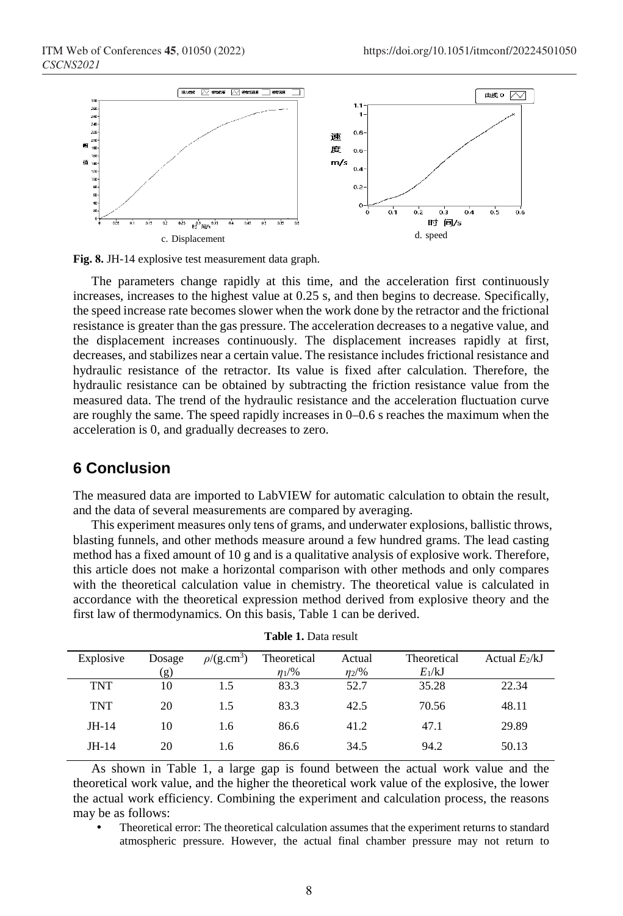

**Fig. 8.** JH-14 explosive test measurement data graph.

The parameters change rapidly at this time, and the acceleration first continuously increases, increases to the highest value at 0.25 s, and then begins to decrease. Specifically, the speed increase rate becomes slower when the work done by the retractor and the frictional resistance is greater than the gas pressure. The acceleration decreases to a negative value, and the displacement increases continuously. The displacement increases rapidly at first, decreases, and stabilizes near a certain value. The resistance includes frictional resistance and hydraulic resistance of the retractor. Its value is fixed after calculation. Therefore, the hydraulic resistance can be obtained by subtracting the friction resistance value from the measured data. The trend of the hydraulic resistance and the acceleration fluctuation curve are roughly the same. The speed rapidly increases in 0–0.6 s reaches the maximum when the acceleration is 0, and gradually decreases to zero.

### **6 Conclusion**

The measured data are imported to LabVIEW for automatic calculation to obtain the result, and the data of several measurements are compared by averaging.

This experiment measures only tens of grams, and underwater explosions, ballistic throws, blasting funnels, and other methods measure around a few hundred grams. The lead casting method has a fixed amount of 10 g and is a qualitative analysis of explosive work. Therefore, this article does not make a horizontal comparison with other methods and only compares with the theoretical calculation value in chemistry. The theoretical value is calculated in accordance with the theoretical expression method derived from explosive theory and the first law of thermodynamics. On this basis, Table 1 can be derived.

| Explosive  | Dosage | $\rho$ /(g.cm <sup>3</sup> ) | Theoretical | Actual   | Theoretical | Actual $E_2/kJ$ |
|------------|--------|------------------------------|-------------|----------|-------------|-----------------|
|            | (g)    |                              | $n_{1}/\%$  | $n_2/96$ | $E_1/kJ$    |                 |
| <b>TNT</b> | 10     | 1.5                          | 83.3        | 52.7     | 35.28       | 22.34           |
| <b>TNT</b> | 20     | 1.5                          | 83.3        | 42.5     | 70.56       | 48.11           |
| $JH-14$    | 10     | 1.6                          | 86.6        | 41.2     | 47.1        | 29.89           |
| $JH-14$    | 20     | 1.6                          | 86.6        | 34.5     | 94.2        | 50.13           |

| <b>Table 1.</b> Data result |  |  |  |
|-----------------------------|--|--|--|
|-----------------------------|--|--|--|

As shown in Table 1, a large gap is found between the actual work value and the theoretical work value, and the higher the theoretical work value of the explosive, the lower the actual work efficiency. Combining the experiment and calculation process, the reasons may be as follows:

 Theoretical error: The theoretical calculation assumes that the experiment returns to standard atmospheric pressure. However, the actual final chamber pressure may not return to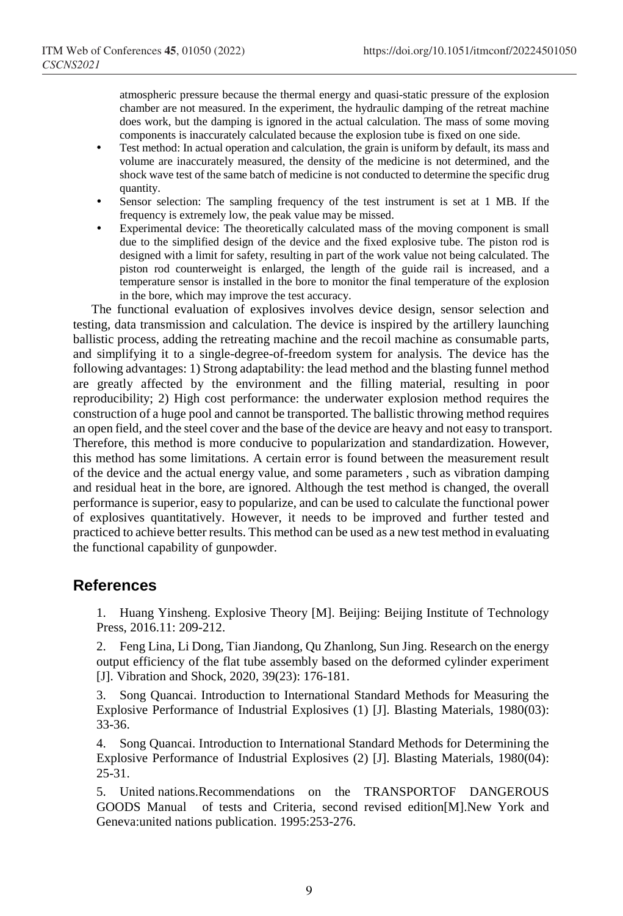atmospheric pressure because the thermal energy and quasi-static pressure of the explosion chamber are not measured. In the experiment, the hydraulic damping of the retreat machine does work, but the damping is ignored in the actual calculation. The mass of some moving components is inaccurately calculated because the explosion tube is fixed on one side.

- Test method: In actual operation and calculation, the grain is uniform by default, its mass and volume are inaccurately measured, the density of the medicine is not determined, and the shock wave test of the same batch of medicine is not conducted to determine the specific drug quantity.
- Sensor selection: The sampling frequency of the test instrument is set at 1 MB. If the frequency is extremely low, the peak value may be missed.
- Experimental device: The theoretically calculated mass of the moving component is small due to the simplified design of the device and the fixed explosive tube. The piston rod is designed with a limit for safety, resulting in part of the work value not being calculated. The piston rod counterweight is enlarged, the length of the guide rail is increased, and a temperature sensor is installed in the bore to monitor the final temperature of the explosion in the bore, which may improve the test accuracy.

The functional evaluation of explosives involves device design, sensor selection and testing, data transmission and calculation. The device is inspired by the artillery launching ballistic process, adding the retreating machine and the recoil machine as consumable parts, and simplifying it to a single-degree-of-freedom system for analysis. The device has the following advantages: 1) Strong adaptability: the lead method and the blasting funnel method are greatly affected by the environment and the filling material, resulting in poor reproducibility; 2) High cost performance: the underwater explosion method requires the construction of a huge pool and cannot be transported. The ballistic throwing method requires an open field, and the steel cover and the base of the device are heavy and not easy to transport. Therefore, this method is more conducive to popularization and standardization. However, this method has some limitations. A certain error is found between the measurement result of the device and the actual energy value, and some parameters , such as vibration damping and residual heat in the bore, are ignored. Although the test method is changed, the overall performance is superior, easy to popularize, and can be used to calculate the functional power of explosives quantitatively. However, it needs to be improved and further tested and practiced to achieve better results. This method can be used as a new test method in evaluating the functional capability of gunpowder.

### **References**

1. Huang Yinsheng. Explosive Theory [M]. Beijing: Beijing Institute of Technology Press, 2016.11: 209-212.

2. Feng Lina, Li Dong, Tian Jiandong, Qu Zhanlong, Sun Jing. Research on the energy output efficiency of the flat tube assembly based on the deformed cylinder experiment [J]. Vibration and Shock, 2020, 39(23): 176-181.

3. Song Quancai. Introduction to International Standard Methods for Measuring the Explosive Performance of Industrial Explosives (1) [J]. Blasting Materials, 1980(03): 33-36.

4. Song Quancai. Introduction to International Standard Methods for Determining the Explosive Performance of Industrial Explosives (2) [J]. Blasting Materials, 1980(04): 25-31.

5. United nations.Recommendations on the TRANSPORTOF DANGEROUS GOODS Manual of tests and Criteria, second revised edition[M].New York and Geneva:united nations publication. 1995:253-276.